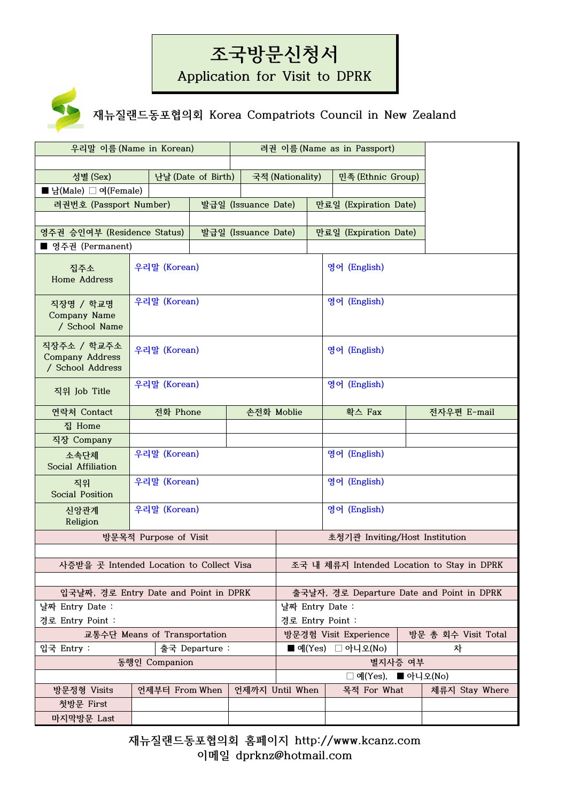## **조국방문신청서**

**Application for Visit to DPRK**



**재뉴질랜드동포협의회 Korea Compatriots Council in New Zealand**

|                                                           | 우리말 이름 (Name in Korean)      |                              |                     |                  | 려권 이름 (Name as in Passport)    |                                            |  |  |
|-----------------------------------------------------------|------------------------------|------------------------------|---------------------|------------------|--------------------------------|--------------------------------------------|--|--|
|                                                           |                              |                              |                     |                  |                                |                                            |  |  |
| 성별 (Sex)                                                  |                              | 난날 (Date of Birth)           |                     | 국적 (Nationality) | 민족 (Ethnic Group)              |                                            |  |  |
| ■ 남(Male) □ 여(Female)                                     |                              |                              |                     |                  |                                |                                            |  |  |
| 려권번호 (Passport Number)                                    |                              | 발급일 (Issuance Date)          |                     |                  | 만료일 (Expiration Date)          |                                            |  |  |
|                                                           |                              |                              |                     |                  |                                |                                            |  |  |
| 영주권 승인여부 (Residence Status)                               |                              |                              | 발급일 (Issuance Date) |                  | 만료일 (Expiration Date)          |                                            |  |  |
| ■ 영주권 (Permanent)                                         |                              |                              |                     |                  |                                |                                            |  |  |
| 집주소<br>Home Address                                       | 우리말 (Korean)                 |                              |                     |                  | 영어 (English)                   |                                            |  |  |
| 직장명 / 학교명<br>Company Name<br>/ School Name                | 우리말 (Korean)                 |                              |                     |                  | 영어 (English)                   |                                            |  |  |
| 직장주소 / 학교주소<br><b>Company Address</b><br>/ School Address | 우리말 (Korean)                 |                              |                     |                  | 영어 (English)                   |                                            |  |  |
| 직위 Job Title                                              | 우리말 (Korean)                 |                              |                     |                  | 영어 (English)                   |                                            |  |  |
| 연락처 Contact                                               | 전화 Phone<br>손전화 Moblie       |                              |                     |                  | 확스 Fax                         | 전자우편 E-mail                                |  |  |
| 집 Home                                                    |                              |                              |                     |                  |                                |                                            |  |  |
| 직장 Company                                                |                              |                              |                     |                  |                                |                                            |  |  |
| 소속단체<br>Social Affiliation                                |                              | 우리말 (Korean)<br>영어 (English) |                     |                  |                                |                                            |  |  |
| 직위<br>Social Position                                     | 우리말 (Korean)<br>영어 (English) |                              |                     |                  |                                |                                            |  |  |
| 신앙관계<br>Religion                                          | 영어 (English)<br>우리말 (Korean) |                              |                     |                  |                                |                                            |  |  |
|                                                           | 방문목적 Purpose of Visit        |                              |                     |                  | 초청기관 Inviting/Host Institution |                                            |  |  |
|                                                           |                              |                              |                     |                  |                                |                                            |  |  |
| 사증받을 곳 Intended Location to Collect Visa                  |                              |                              |                     |                  |                                | 조국 내 체류지 Intended Location to Stay in DPRK |  |  |
| 입국날짜, 경로 Entry Date and Point in DPRK                     |                              |                              |                     |                  |                                | 출국날자, 경로 Departure Date and Point in DPRK  |  |  |
| 날짜 Entry Date :                                           |                              |                              | 날짜 Entry Date :     |                  |                                |                                            |  |  |
| 경로 Entry Point :                                          |                              |                              | 경로 Entry Point :    |                  |                                |                                            |  |  |
|                                                           | 교통수단 Means of Transportation |                              |                     |                  | 방문경험 Visit Experience          | 방문 총 회수 Visit Total                        |  |  |
| 입국 Entry :                                                |                              | 출국 Departure :               |                     |                  | ■예(Yes) □ 아니오(No)              | 차                                          |  |  |
|                                                           | 동행인 Companion                |                              |                     |                  | 별지사증 여부                        |                                            |  |  |
|                                                           |                              |                              |                     |                  | □예(Yes), ■ 아니오(No)             |                                            |  |  |
| 방문정형 Visits                                               | 언제부터 From When               |                              |                     | 언제까지 Until When  | 목적 For What                    | 체류지 Stay Where                             |  |  |
| 첫방문 First                                                 |                              |                              |                     |                  |                                |                                            |  |  |
| 마지막방문 Last                                                |                              |                              |                     |                  |                                |                                            |  |  |

**재뉴질랜드동포협의회 홈페이지 http://www.kcanz.com 이메일 dprknz@hotmail.com**